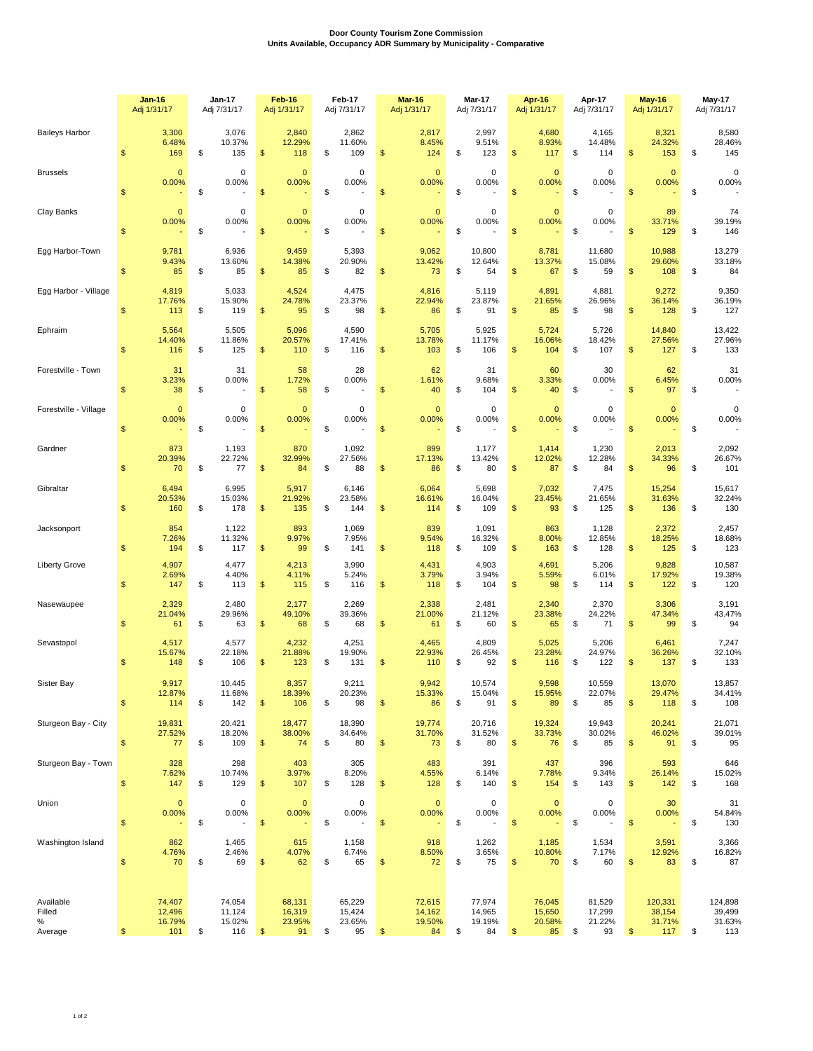## **Door County Tourism Zone Commission Units Available, Occupancy ADR Summary by Municipality - Comparative**

|                                     |                         | <b>Jan-16</b><br>Adj 1/31/17      |    | Jan-17<br>Adj 7/31/17                  | Feb-16<br>Adj 1/31/17                  | Feb-17<br>Adj 7/31/17 |                                  | Mar-16<br>Adj 1/31/17                             | <b>Mar-17</b><br>Adj 7/31/17                         |                | Apr-16<br>Adj 1/31/17                  |    | Apr-17<br>Adj 7/31/17            |            | May-16<br>Adj 1/31/17              |    | <b>May-17</b><br>Adj 7/31/17            |  |
|-------------------------------------|-------------------------|-----------------------------------|----|----------------------------------------|----------------------------------------|-----------------------|----------------------------------|---------------------------------------------------|------------------------------------------------------|----------------|----------------------------------------|----|----------------------------------|------------|------------------------------------|----|-----------------------------------------|--|
| <b>Baileys Harbor</b>               | $\frac{2}{3}$           | 3,300<br>6.48%<br>169             | \$ | 3,076<br>10.37%<br>135                 | 2,840<br>12.29%<br>\$<br>118           | \$                    | 2,862<br>11.60%<br>109           | 2,817<br>8.45%<br>\$<br>124                       | \$<br>2,997<br>9.51%<br>123                          | \$             | 4,680<br>8.93%<br>117                  | \$ | 4,165<br>14.48%<br>114           | \$         | 8,321<br>24.32%<br>153             | \$ | 8,580<br>28.46%<br>145                  |  |
| <b>Brussels</b>                     | $\sqrt[6]{3}$           | $\mathbf{0}$<br>0.00%             | \$ | 0<br>0.00%                             | $\mathbf{0}$<br>0.00%<br>\$            | \$                    | 0<br>0.00%                       | $\mathbf{0}$<br>0.00%<br>\$                       | \$<br>0<br>0.00%                                     | \$             | $\mathbf{0}$<br>0.00%                  | \$ | 0<br>0.00%                       | \$         | $\mathbf 0$<br>0.00%               | \$ | $\mathbf 0$<br>0.00%                    |  |
| Clay Banks                          | $\frac{2}{3}$           | $\mathbf 0$<br>0.00%              | \$ | 0<br>0.00%                             | $\mathbf{0}$<br>0.00%<br>\$            | \$                    | 0<br>0.00%                       | $\mathbf{0}$<br>0.00%<br>\$                       | \$<br>0<br>0.00%                                     | \$             | $\mathbf{0}$<br>0.00%                  | \$ | 0<br>0.00%                       | \$         | 89<br>33.71%<br>129                | \$ | 74<br>39.19%<br>146                     |  |
| Egg Harbor-Town                     | $\sqrt[6]{3}$           | 9,781<br>9.43%<br>85              | \$ | 6,936<br>13.60%<br>85                  | 9,459<br>14.38%<br>\$<br>85            | \$                    | 5,393<br>20.90%<br>82            | 9,062<br>13.42%<br>\$<br>73                       | \$<br>10,800<br>12.64%<br>54                         | $\frac{1}{2}$  | 8,781<br>13.37%<br>67                  | \$ | 11,680<br>15.08%<br>59           | \$         | 10,988<br>29.60%<br>108            | \$ | 13,279<br>33.18%<br>84                  |  |
| Egg Harbor - Village                | $\sqrt[6]{3}$           | 4,819<br>17.76%<br>113            | \$ | 5,033<br>15.90%<br>119                 | 4,524<br>24.78%<br>\$<br>95            | \$                    | 4,475<br>23.37%<br>98            | 4,816<br>22.94%<br>\$<br>86                       | \$<br>5,119<br>23.87%<br>91                          | $\mathsf{\$}$  | 4,891<br>21.65%<br>85                  | \$ | 4,881<br>26.96%<br>98            | \$         | 9,272<br>36.14%<br>128             | \$ | 9,350<br>36.19%<br>127                  |  |
| Ephraim                             | $\sqrt[6]{3}$           | 5,564<br>14.40%<br>116            | \$ | 5,505<br>11.86%<br>125                 | 5,096<br>20.57%<br>\$<br>110           | \$                    | 4,590<br>17.41%<br>116           | 5,705<br>13.78%<br>\$<br>103                      | \$<br>5,925<br>11.17%<br>106                         | $\mathsf{\$}$  | 5,724<br>16.06%<br>104                 | \$ | 5,726<br>18.42%<br>107           | \$         | 14,840<br>27.56%<br>127            | \$ | 13,422<br>27.96%<br>133                 |  |
| Forestville - Town                  | $\sqrt[6]{3}$           | 31<br>3.23%<br>38                 | \$ | 31<br>0.00%                            | 58<br>1.72%<br>\$<br>58                | \$                    | 28<br>0.00%                      | 62<br>1.61%<br>\$<br>40                           | \$<br>31<br>9.68%<br>104                             | $\mathsf{\$}$  | 60<br>3.33%<br>40                      | \$ | 30<br>0.00%                      | \$         | 62<br>6.45%<br>97                  | \$ | 31<br>0.00%<br>$\overline{\phantom{a}}$ |  |
| Forestville - Village               | $\sqrt[6]{3}$           | $\mathbf{0}$<br>0.00%             | \$ | 0<br>0.00%                             | $\mathbf 0$<br>0.00%<br>\$             | \$                    | $\mathbf 0$<br>0.00%             | $\mathbf{0}$<br>0.00%<br>$\mathsf{\$}$            | \$<br>0<br>0.00%                                     | $\mathfrak{S}$ | $\mathbf{0}$<br>0.00%                  | \$ | 0<br>0.00%                       | \$         | $\mathbf 0$<br>0.00%               | \$ | $\mathbf 0$<br>0.00%                    |  |
| Gardner                             | $\frac{1}{2}$           | 873<br>20.39%<br>70               | \$ | 1,193<br>22.72%<br>77                  | 870<br>32.99%<br>\$<br>84              | \$                    | 1,092<br>27.56%<br>88            | 899<br>17.13%<br>\$<br>86                         | \$<br>1,177<br>13.42%<br>80                          | \$             | 1,414<br>12.02%<br>87                  | \$ | 1,230<br>12.28%<br>84            | \$         | 2,013<br>34.33%<br>96              | \$ | 2,092<br>26.67%<br>101                  |  |
| Gibraltar                           | $\sqrt[6]{3}$           | 6,494<br>20.53%<br>160            | \$ | 6,995<br>15.03%<br>178                 | 5,917<br>21.92%<br>\$<br>135           | \$                    | 6,146<br>23.58%<br>144           | 6,064<br>16.61%<br>\$<br>114                      | \$<br>5,698<br>16.04%<br>109                         | \$             | 7,032<br>23.45%<br>93                  | \$ | 7,475<br>21.65%<br>125           | \$         | 15,254<br>31.63%<br>136            | \$ | 15,617<br>32.24%<br>130                 |  |
| Jacksonport                         | $\sqrt[6]{3}$           | 854<br>7.26%<br>194               | \$ | 1,122<br>11.32%<br>117                 | 893<br>9.97%<br>\$<br>99               | \$                    | 1,069<br>7.95%<br>141            | 839<br>9.54%<br>\$<br>118                         | \$<br>1,091<br>16.32%<br>109                         | \$             | 863<br>8.00%<br>163                    | \$ | 1,128<br>12.85%<br>128           | \$         | 2,372<br>18.25%<br>125             | \$ | 2,457<br>18.68%<br>123                  |  |
| <b>Liberty Grove</b>                | $\sqrt[6]{3}$           | 4,907<br>2.69%<br>147             | \$ | 4,477<br>4.40%<br>113                  | 4,213<br>4.11%<br>\$<br>115            | \$                    | 3,990<br>5.24%<br>116            | 4,431<br>3.79%<br>\$<br>118                       | \$<br>4,903<br>3.94%<br>104                          | \$             | 4,691<br>5.59%<br>98                   | \$ | 5,206<br>6.01%<br>114            | \$         | 9,828<br>17.92%<br>122             | \$ | 10,587<br>19.38%<br>120                 |  |
| Nasewaupee                          | $\mathfrak{s}$          | 2,329<br>21.04%<br>61             | \$ | 2,480<br>29.96%<br>63                  | 2,177<br>49.10%<br>\$<br>68            | \$                    | 2,269<br>39.36%<br>68            | 2,338<br>21.00%<br>\$<br>61                       | \$<br>2,481<br>21.12%<br>60                          | \$             | 2,340<br>23.38%<br>65                  | \$ | 2,370<br>24.22%<br>71            | \$         | 3,306<br>47.34%<br>99              | \$ | 3,191<br>43.47%<br>94                   |  |
| Sevastopol                          | $\sqrt[6]{3}$           | 4,517<br>15.67%<br>148            | \$ | 4,577<br>22.18%<br>106                 | 4,232<br>21.88%<br>\$<br>123           | \$                    | 4,251<br>19.90%<br>131           | 4,465<br>22.93%<br>\$<br>110                      | \$<br>4,809<br>26.45%<br>92                          | \$             | 5,025<br>23.28%<br>116                 | \$ | 5,206<br>24.97%<br>122           | \$         | 6,461<br>36.26%<br>137             | \$ | 7,247<br>32.10%<br>133                  |  |
| Sister Bay                          | $\,$                    | 9,917<br>12.87%<br>114            | \$ | 10,445<br>11.68%<br>142                | 8,357<br>18.39%<br>106<br>\$           | \$                    | 9,211<br>20.23%<br>98            | 9,942<br>15.33%<br>86<br>\$                       | \$<br>10,574<br>15.04%<br>91                         | \$             | 9,598<br>15.95%<br>89                  | \$ | 10,559<br>22.07%<br>85           | \$         | 13,070<br>29.47%<br>118            | \$ | 13,857<br>34.41%<br>108                 |  |
| Sturgeon Bay - City                 | $\sqrt[6]{\frac{1}{2}}$ | 19,831<br>27.52%<br>77            | \$ | 20,421<br>18.20%<br>109                | 18,477<br>38.00%<br>$\mathbb{S}$<br>74 | \$                    | 18,390<br>34.64%<br>80           | 19,774<br>31.70%<br>\$<br>73                      | \$<br>20,716<br>31.52%<br>80                         | $\mathbb{S}$   | 19,324<br>33.73%<br>76                 | \$ | 19,943<br>30.02%<br>85           | \$         | 20,241<br>46.02%<br>91             | \$ | 21,071<br>39.01%<br>95                  |  |
| Sturgeon Bay - Town                 | $\,$                    | 328<br>7.62%<br>147               | \$ | 298<br>10.74%<br>129                   | 403<br>3.97%<br>\$<br>107              | \$                    | 305<br>8.20%<br>128              | 483<br>4.55%<br>\$<br>128                         | \$<br>391<br>6.14%<br>140                            | \$             | 437<br>7.78%<br>154                    | \$ | 396<br>9.34%<br>143              | \$         | 593<br>26.14%<br>142               | \$ | 646<br>15.02%<br>168                    |  |
| Union                               | $\sqrt[6]{3}$           | $\mathbf{0}$<br>0.00%             | \$ | 0<br>0.00%<br>$\overline{\phantom{a}}$ | $\mathbf 0$<br>0.00%<br>\$             | \$                    | $\mathbf 0$<br>0.00%             | $\mathbf{0}$<br>0.00%<br>$\frac{1}{2}$            | \$<br>$\pmb{0}$<br>0.00%<br>$\overline{\phantom{a}}$ | $\mathfrak{s}$ | $\mathbf 0$<br>0.00%<br>$\blacksquare$ | \$ | 0<br>0.00%<br>÷,                 | $\sqrt{2}$ | 30<br>0.00%<br>۰.                  | \$ | 31<br>54.84%<br>130                     |  |
| Washington Island                   | $\mathbb{S}$            | 862<br>4.76%<br>70                | \$ | 1,465<br>2.46%<br>69                   | 615<br>4.07%<br>\$<br>62               | \$                    | 1,158<br>6.74%<br>65             | 918<br>8.50%<br>\$<br>72                          | \$<br>1,262<br>3.65%<br>75                           | $\mathbb{S}$   | 1,185<br>10.80%<br>70                  | \$ | 1,534<br>7.17%<br>60             | \$         | 3,591<br>12.92%<br>83              | \$ | 3,366<br>16.82%<br>87                   |  |
| Available<br>Filled<br>℅<br>Average | $\frac{2}{3}$           | 74,407<br>12,496<br>16.79%<br>101 | \$ | 74,054<br>11,124<br>15.02%<br>116      | 68,131<br>16,319<br>23.95%<br>\$<br>91 | \$                    | 65,229<br>15,424<br>23.65%<br>95 | 72,615<br>14,162<br>19.50%<br>$\frac{1}{2}$<br>84 | \$<br>77,974<br>14,965<br>19.19%<br>84               | $$\mathbb{S}$$ | 76,045<br>15,650<br>20.58%<br>85       | \$ | 81,529<br>17,299<br>21.22%<br>93 | $\sqrt{2}$ | 120,331<br>38,154<br>31.71%<br>117 | \$ | 124,898<br>39,499<br>31.63%<br>113      |  |